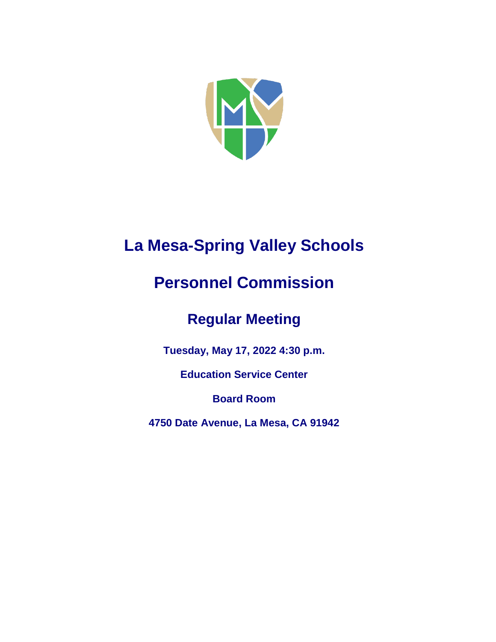

## **La Mesa-Spring Valley Schools**

# **Personnel Commission**

## **Regular Meeting**

**Tuesday, May 17, 2022 4:30 p.m.**

**Education Service Center**

**Board Room**

**4750 Date Avenue, La Mesa, CA 91942**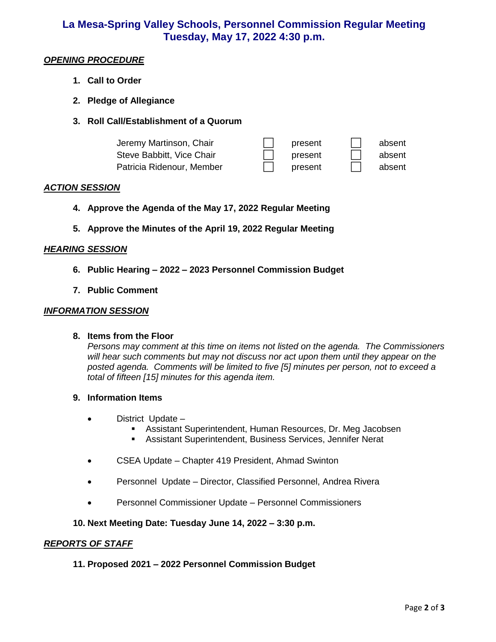### **La Mesa-Spring Valley Schools, Personnel Commission Regular Meeting Tuesday, May 17, 2022 4:30 p.m.**

#### *OPENING PROCEDURE*

- **1. Call to Order**
- **2. Pledge of Allegiance**
- **3. Roll Call/Establishment of a Quorum**

| Jeremy Martinson, Chair   | present | absent |
|---------------------------|---------|--------|
| Steve Babbitt, Vice Chair | present | absent |
| Patricia Ridenour, Member | present | absent |

#### *ACTION SESSION*

- **4. Approve the Agenda of the May 17, 2022 Regular Meeting**
- **5. Approve the Minutes of the April 19, 2022 Regular Meeting**

#### *HEARING SESSION*

- **6. Public Hearing – 2022 – 2023 Personnel Commission Budget**
- **7. Public Comment**

#### *INFORMATION SESSION*

#### **8. Items from the Floor**

*Persons may comment at this time on items not listed on the agenda. The Commissioners will hear such comments but may not discuss nor act upon them until they appear on the posted agenda. Comments will be limited to five [5] minutes per person, not to exceed a total of fifteen [15] minutes for this agenda item.* 

#### **9. Information Items**

- District Update
	- Assistant Superintendent, Human Resources, Dr. Meg Jacobsen
	- Assistant Superintendent, Business Services, Jennifer Nerat
- CSEA Update Chapter 419 President, Ahmad Swinton
- Personnel Update Director, Classified Personnel, Andrea Rivera
- Personnel Commissioner Update Personnel Commissioners

#### **10. Next Meeting Date: Tuesday June 14, 2022 – 3:30 p.m.**

#### *REPORTS OF STAFF*

#### **11. Proposed 2021 – 2022 Personnel Commission Budget**